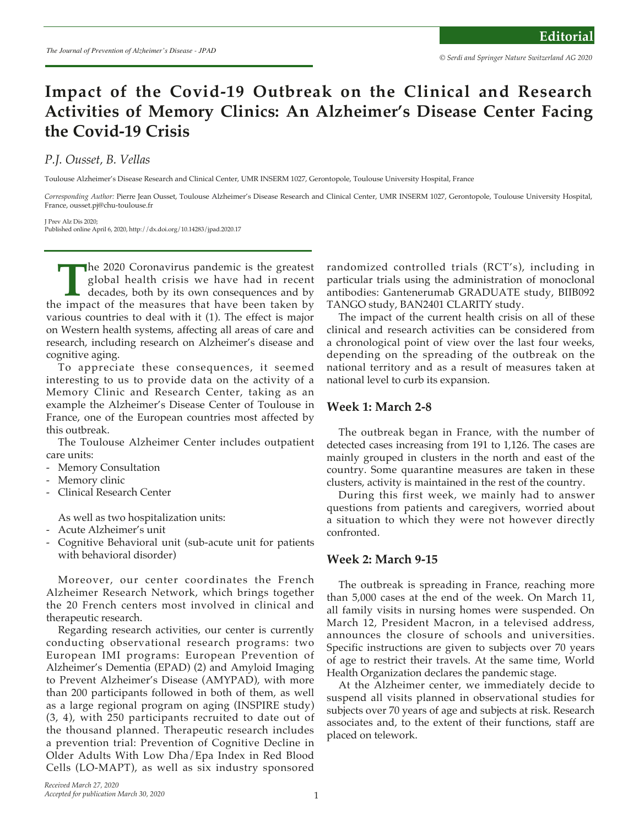# **Impact of the Covid-19 Outbreak on the Clinical and Research Activities of Memory Clinics: An Alzheimer's Disease Center Facing the Covid-19 Crisis**

# *P.J. Ousset, B. Vellas*

Toulouse Alzheimer's Disease Research and Clinical Center, UMR INSERM 1027, Gerontopole, Toulouse University Hospital, France

*Corresponding Author:* Pierre Jean Ousset, Toulouse Alzheimer's Disease Research and Clinical Center, UMR INSERM 1027, Gerontopole, Toulouse University Hospital, France, ousset.pj@chu-toulouse.fr

J Prev Alz Dis 2020; Published online April 6, 2020, http://dx.doi.org/10.14283/jpad.2020.17

**The 2020 Coronavirus pandemic is the greatest** global health crisis we have had in recent decades, both by its own consequences and by e impact of the measures that have been taken by global health crisis we have had in recent decades, both by its own consequences and by the impact of the measures that have been taken by various countries to deal with it (1). The effect is major on Western health systems, affecting all areas of care and research, including research on Alzheimer's disease and cognitive aging.

To appreciate these consequences, it seemed interesting to us to provide data on the activity of a Memory Clinic and Research Center, taking as an example the Alzheimer's Disease Center of Toulouse in France, one of the European countries most affected by this outbreak.

The Toulouse Alzheimer Center includes outpatient care units:

- Memory Consultation
- Memory clinic
- Clinical Research Center

As well as two hospitalization units:

- Acute Alzheimer's unit
- Cognitive Behavioral unit (sub-acute unit for patients with behavioral disorder)

Moreover, our center coordinates the French Alzheimer Research Network, which brings together the 20 French centers most involved in clinical and therapeutic research.

Regarding research activities, our center is currently conducting observational research programs: two European IMI programs: European Prevention of Alzheimer's Dementia (EPAD) (2) and Amyloid Imaging to Prevent Alzheimer's Disease (AMYPAD), with more than 200 participants followed in both of them, as well as a large regional program on aging (INSPIRE study) (3, 4), with 250 participants recruited to date out of the thousand planned. Therapeutic research includes a prevention trial: Prevention of Cognitive Decline in Older Adults With Low Dha/Epa Index in Red Blood Cells (LO-MAPT), as well as six industry sponsored randomized controlled trials (RCT's), including in particular trials using the administration of monoclonal antibodies: Gantenerumab GRADUATE study, BIIB092 TANGO study, BAN2401 CLARITY study.

The impact of the current health crisis on all of these clinical and research activities can be considered from a chronological point of view over the last four weeks, depending on the spreading of the outbreak on the national territory and as a result of measures taken at national level to curb its expansion.

#### **Week 1: March 2-8**

The outbreak began in France, with the number of detected cases increasing from 191 to 1,126. The cases are mainly grouped in clusters in the north and east of the country. Some quarantine measures are taken in these clusters, activity is maintained in the rest of the country.

During this first week, we mainly had to answer questions from patients and caregivers, worried about a situation to which they were not however directly confronted.

#### **Week 2: March 9-15**

The outbreak is spreading in France, reaching more than 5,000 cases at the end of the week. On March 11, all family visits in nursing homes were suspended. On March 12, President Macron, in a televised address, announces the closure of schools and universities. Specific instructions are given to subjects over 70 years of age to restrict their travels. At the same time, World Health Organization declares the pandemic stage.

At the Alzheimer center, we immediately decide to suspend all visits planned in observational studies for subjects over 70 years of age and subjects at risk. Research associates and, to the extent of their functions, staff are placed on telework.